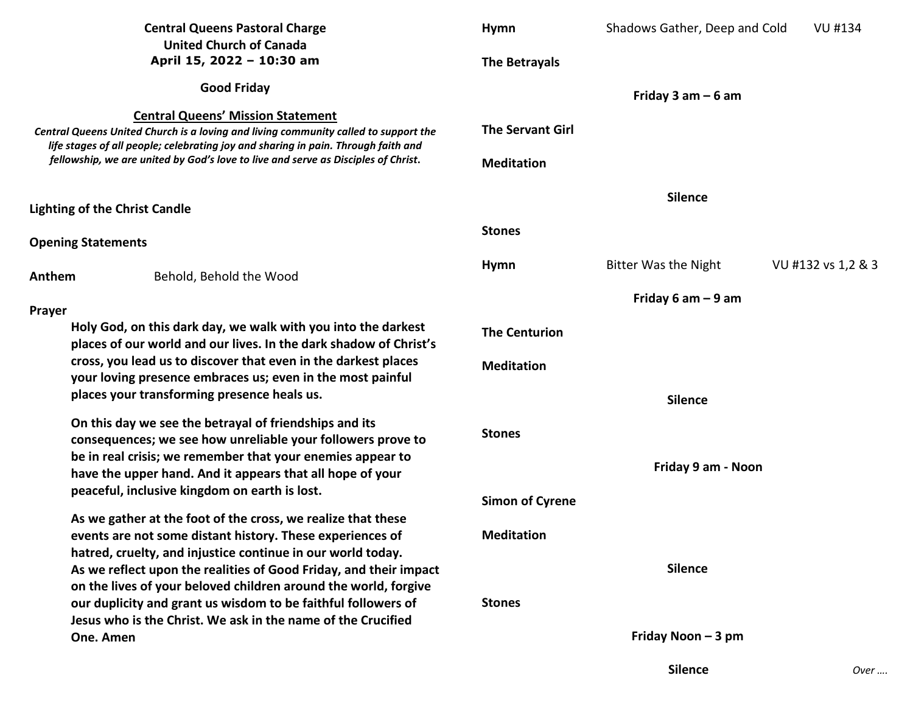| <b>Central Queens Pastoral Charge</b><br><b>United Church of Canada</b><br>April 15, 2022 - 10:30 am<br><b>Good Friday</b>                                                                                                                                                                                |                                                                                                                                                                                                       | <b>Hymn</b>                                  | Shadows Gather, Deep and Cold | <b>VU #134</b>     |
|-----------------------------------------------------------------------------------------------------------------------------------------------------------------------------------------------------------------------------------------------------------------------------------------------------------|-------------------------------------------------------------------------------------------------------------------------------------------------------------------------------------------------------|----------------------------------------------|-------------------------------|--------------------|
|                                                                                                                                                                                                                                                                                                           |                                                                                                                                                                                                       | The Betrayals                                |                               |                    |
|                                                                                                                                                                                                                                                                                                           |                                                                                                                                                                                                       | Friday 3 am $-6$ am                          |                               |                    |
| <b>Central Queens' Mission Statement</b><br>Central Queens United Church is a loving and living community called to support the<br>life stages of all people; celebrating joy and sharing in pain. Through faith and<br>fellowship, we are united by God's love to live and serve as Disciples of Christ. |                                                                                                                                                                                                       | <b>The Servant Girl</b><br><b>Meditation</b> |                               |                    |
| <b>Lighting of the Christ Candle</b>                                                                                                                                                                                                                                                                      |                                                                                                                                                                                                       | <b>Silence</b>                               |                               |                    |
| <b>Opening Statements</b>                                                                                                                                                                                                                                                                                 |                                                                                                                                                                                                       | <b>Stones</b>                                |                               |                    |
| Anthem                                                                                                                                                                                                                                                                                                    | Behold, Behold the Wood                                                                                                                                                                               | <b>Hymn</b>                                  | Bitter Was the Night          | VU #132 vs 1,2 & 3 |
| Prayer<br>Holy God, on this dark day, we walk with you into the darkest<br>places of our world and our lives. In the dark shadow of Christ's<br>cross, you lead us to discover that even in the darkest places<br>your loving presence embraces us; even in the most painful                              |                                                                                                                                                                                                       | Friday 6 am $-9$ am                          |                               |                    |
|                                                                                                                                                                                                                                                                                                           |                                                                                                                                                                                                       | <b>The Centurion</b>                         |                               |                    |
|                                                                                                                                                                                                                                                                                                           |                                                                                                                                                                                                       | <b>Meditation</b>                            |                               |                    |
|                                                                                                                                                                                                                                                                                                           | places your transforming presence heals us.                                                                                                                                                           | <b>Silence</b>                               |                               |                    |
| On this day we see the betrayal of friendships and its<br>consequences; we see how unreliable your followers prove to<br>be in real crisis; we remember that your enemies appear to<br>have the upper hand. And it appears that all hope of your<br>peaceful, inclusive kingdom on earth is lost.         |                                                                                                                                                                                                       | <b>Stones</b>                                |                               |                    |
|                                                                                                                                                                                                                                                                                                           |                                                                                                                                                                                                       | <b>Simon of Cyrene</b>                       | Friday 9 am - Noon            |                    |
|                                                                                                                                                                                                                                                                                                           | As we gather at the foot of the cross, we realize that these<br>events are not some distant history. These experiences of<br>hatred, cruelty, and injustice continue in our world today.              | <b>Meditation</b><br><b>Stones</b>           |                               |                    |
|                                                                                                                                                                                                                                                                                                           | As we reflect upon the realities of Good Friday, and their impact<br>on the lives of your beloved children around the world, forgive<br>our duplicity and grant us wisdom to be faithful followers of |                                              | <b>Silence</b>                |                    |
|                                                                                                                                                                                                                                                                                                           | Jesus who is the Christ. We ask in the name of the Crucified<br>One. Amen                                                                                                                             |                                              | Friday Noon - 3 pm            |                    |
|                                                                                                                                                                                                                                                                                                           |                                                                                                                                                                                                       |                                              | <b>Silence</b>                | Over               |